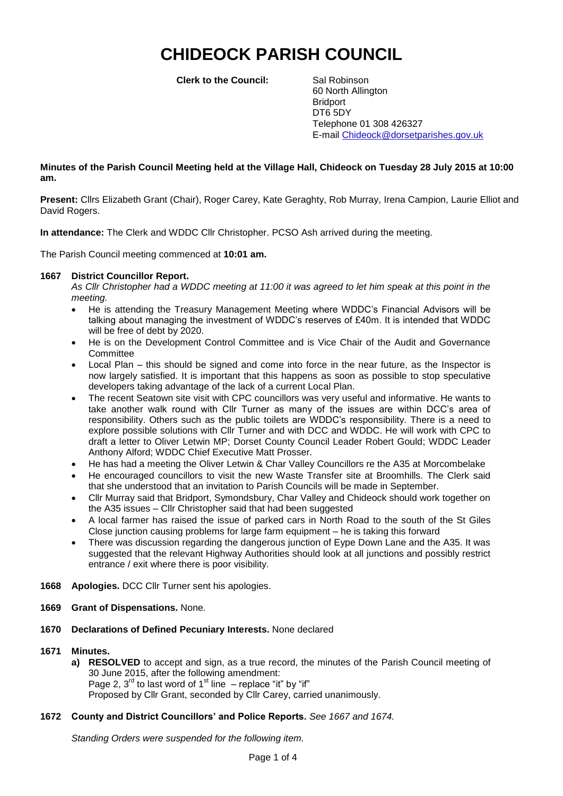# **CHIDEOCK PARISH COUNCIL**

**Clerk to the Council:** Sal Robinson

60 North Allington **Bridport** DT6 5DY Telephone 01 308 426327 E-mail Chideock@dorsetparishes.gov.uk

#### **Minutes of the Parish Council Meeting held at the Village Hall, Chideock on Tuesday 28 July 2015 at 10:00 am.**

**Present:** Cllrs Elizabeth Grant (Chair), Roger Carey, Kate Geraghty, Rob Murray, Irena Campion, Laurie Elliot and David Rogers.

**In attendance:** The Clerk and WDDC Cllr Christopher. PCSO Ash arrived during the meeting.

The Parish Council meeting commenced at **10:01 am.**

#### **1667 District Councillor Report.**

*As Cllr Christopher had a WDDC meeting at 11:00 it was agreed to let him speak at this point in the meeting.*

- He is attending the Treasury Management Meeting where WDDC's Financial Advisors will be talking about managing the investment of WDDC's reserves of £40m. It is intended that WDDC will be free of debt by 2020.
- He is on the Development Control Committee and is Vice Chair of the Audit and Governance **Committee**
- Local Plan this should be signed and come into force in the near future, as the Inspector is now largely satisfied. It is important that this happens as soon as possible to stop speculative developers taking advantage of the lack of a current Local Plan.
- The recent Seatown site visit with CPC councillors was very useful and informative. He wants to take another walk round with Cllr Turner as many of the issues are within DCC's area of responsibility. Others such as the public toilets are WDDC's responsibility. There is a need to explore possible solutions with Cllr Turner and with DCC and WDDC. He will work with CPC to draft a letter to Oliver Letwin MP; Dorset County Council Leader Robert Gould; WDDC Leader Anthony Alford; WDDC Chief Executive Matt Prosser.
- He has had a meeting the Oliver Letwin & Char Valley Councillors re the A35 at Morcombelake
- He encouraged councillors to visit the new Waste Transfer site at Broomhills. The Clerk said that she understood that an invitation to Parish Councils will be made in September.
- Cllr Murray said that Bridport, Symondsbury, Char Valley and Chideock should work together on the A35 issues – Cllr Christopher said that had been suggested
- A local farmer has raised the issue of parked cars in North Road to the south of the St Giles Close junction causing problems for large farm equipment – he is taking this forward
- There was discussion regarding the dangerous junction of Eype Down Lane and the A35. It was suggested that the relevant Highway Authorities should look at all junctions and possibly restrict entrance / exit where there is poor visibility.
- **1668 Apologies.** DCC Cllr Turner sent his apologies.
- **1669 Grant of Dispensations.** None.
- **1670 Declarations of Defined Pecuniary Interests.** None declared

#### **1671 Minutes.**

**a) RESOLVED** to accept and sign, as a true record, the minutes of the Parish Council meeting of 30 June 2015, after the following amendment: Page 2,  $3^{\text{rd}}$  to last word of 1<sup>st</sup> line  $-$  replace "it" by "if" Proposed by Cllr Grant, seconded by Cllr Carey, carried unanimously.

#### **1672 County and District Councillors' and Police Reports.** *See 1667 and 1674.*

*Standing Orders were suspended for the following item.*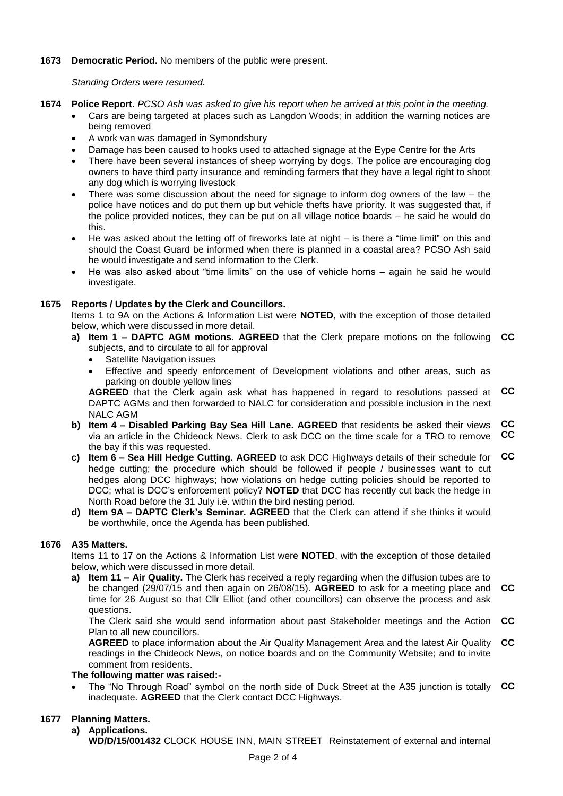#### **1673 Democratic Period.** No members of the public were present.

*Standing Orders were resumed.*

- **1674 Police Report.** *PCSO Ash was asked to give his report when he arrived at this point in the meeting.*
	- Cars are being targeted at places such as Langdon Woods; in addition the warning notices are being removed
	- A work van was damaged in Symondsbury
	- Damage has been caused to hooks used to attached signage at the Eype Centre for the Arts
	- There have been several instances of sheep worrying by dogs. The police are encouraging dog owners to have third party insurance and reminding farmers that they have a legal right to shoot any dog which is worrying livestock
	- There was some discussion about the need for signage to inform dog owners of the law the police have notices and do put them up but vehicle thefts have priority. It was suggested that, if the police provided notices, they can be put on all village notice boards – he said he would do this.
	- He was asked about the letting off of fireworks late at night is there a "time limit" on this and should the Coast Guard be informed when there is planned in a coastal area? PCSO Ash said he would investigate and send information to the Clerk.
	- He was also asked about "time limits" on the use of vehicle horns again he said he would investigate.

# **1675 Reports / Updates by the Clerk and Councillors.**

Items 1 to 9A on the Actions & Information List were **NOTED**, with the exception of those detailed below, which were discussed in more detail.

- **a) Item 1 – DAPTC AGM motions. AGREED** that the Clerk prepare motions on the following **CC** subjects, and to circulate to all for approval
	- Satellite Navigation issues
	- Effective and speedy enforcement of Development violations and other areas, such as parking on double yellow lines

**AGREED** that the Clerk again ask what has happened in regard to resolutions passed at **CC** DAPTC AGMs and then forwarded to NALC for consideration and possible inclusion in the next NALC AGM

- **b) Item 4 – Disabled Parking Bay Sea Hill Lane. AGREED** that residents be asked their views via an article in the Chideock News. Clerk to ask DCC on the time scale for a TRO to remove the bay if this was requested. **CC CC**
- **c) Item 6 – Sea Hill Hedge Cutting. AGREED** to ask DCC Highways details of their schedule for **CC** hedge cutting; the procedure which should be followed if people / businesses want to cut hedges along DCC highways; how violations on hedge cutting policies should be reported to DCC; what is DCC's enforcement policy? **NOTED** that DCC has recently cut back the hedge in North Road before the 31 July i.e. within the bird nesting period.
- **d) Item 9A – DAPTC Clerk's Seminar. AGREED** that the Clerk can attend if she thinks it would be worthwhile, once the Agenda has been published.

#### **1676 A35 Matters.**

Items 11 to 17 on the Actions & Information List were **NOTED**, with the exception of those detailed below, which were discussed in more detail.

**a) Item 11 – Air Quality.** The Clerk has received a reply regarding when the diffusion tubes are to be changed (29/07/15 and then again on 26/08/15). **AGREED** to ask for a meeting place and **CC** time for 26 August so that Cllr Elliot (and other councillors) can observe the process and ask questions.

The Clerk said she would send information about past Stakeholder meetings and the Action **CC** Plan to all new councillors.

**AGREED** to place information about the Air Quality Management Area and the latest Air Quality **CC** readings in the Chideock News, on notice boards and on the Community Website; and to invite comment from residents.

#### **The following matter was raised:-**

 The "No Through Road" symbol on the north side of Duck Street at the A35 junction is totally **CC** inadequate. **AGREED** that the Clerk contact DCC Highways.

# **1677 Planning Matters.**

#### **a) Applications.**

**WD/D/15/001432** CLOCK HOUSE INN, MAIN STREET Reinstatement of external and internal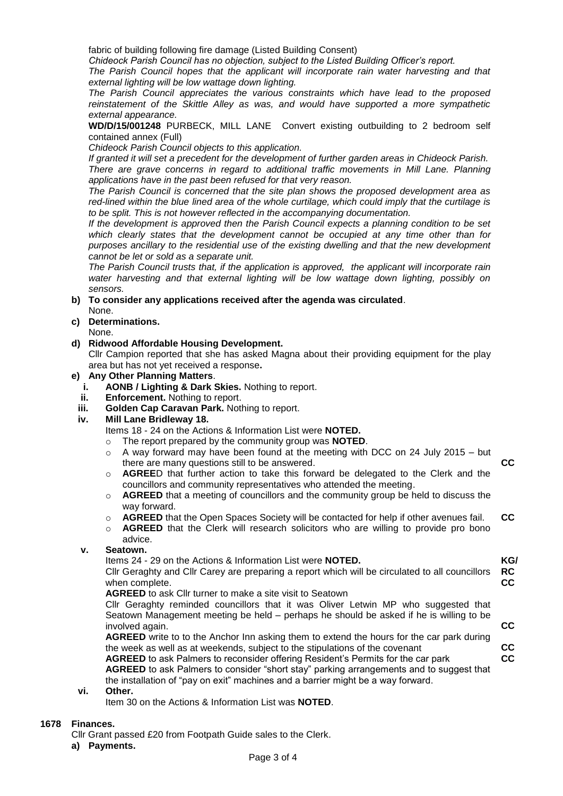fabric of building following fire damage (Listed Building Consent)

*Chideock Parish Council has no objection, subject to the Listed Building Officer's report.*

*The Parish Council hopes that the applicant will incorporate rain water harvesting and that external lighting will be low wattage down lighting.*

*The Parish Council appreciates the various constraints which have lead to the proposed reinstatement of the Skittle Alley as was, and would have supported a more sympathetic external appearance.*

**WD/D/15/001248** PURBECK, MILL LANE Convert existing outbuilding to 2 bedroom self contained annex (Full)

*Chideock Parish Council objects to this application.*

*If granted it will set a precedent for the development of further garden areas in Chideock Parish. There are grave concerns in regard to additional traffic movements in Mill Lane. Planning applications have in the past been refused for that very reason.*

*The Parish Council is concerned that the site plan shows the proposed development area as red-lined within the blue lined area of the whole curtilage, which could imply that the curtilage is to be split. This is not however reflected in the accompanying documentation.*

*If the development is approved then the Parish Council expects a planning condition to be set which clearly states that the development cannot be occupied at any time other than for purposes ancillary to the residential use of the existing dwelling and that the new development cannot be let or sold as a separate unit.* 

*The Parish Council trusts that, if the application is approved, the applicant will incorporate rain water harvesting and that external lighting will be low wattage down lighting, possibly on sensors.*

**b) To consider any applications received after the agenda was circulated**.

# None.

**c) Determinations.**

None.

#### **d) Ridwood Affordable Housing Development.**

Cllr Campion reported that she has asked Magna about their providing equipment for the play area but has not yet received a response**.**

#### **e) Any Other Planning Matters**.

- **i. AONB / Lighting & Dark Skies.** Nothing to report.
- **ii. Enforcement.** Nothing to report.
- **iii. Golden Cap Caravan Park.** Nothing to report.

#### **iv. Mill Lane Bridleway 18.**

Items 18 - 24 on the Actions & Information List were **NOTED.**

- o The report prepared by the community group was **NOTED**.
- $\circ$  A way forward may have been found at the meeting with DCC on 24 July 2015 but there are many questions still to be answered. **CC**
- o **AGREE**D that further action to take this forward be delegated to the Clerk and the councillors and community representatives who attended the meeting.
- o **AGREED** that a meeting of councillors and the community group be held to discuss the way forward.
- o **AGREED** that the Open Spaces Society will be contacted for help if other avenues fail. **CC**
- o **AGREED** that the Clerk will research solicitors who are willing to provide pro bono advice.

#### **v. Seatown.**

Items 24 - 29 on the Actions & Information List were **NOTED.**

Cllr Geraghty and Cllr Carey are preparing a report which will be circulated to all councillors when complete. **RC CC**

**KG/**

**AGREED** to ask Cllr turner to make a site visit to Seatown

Cllr Geraghty reminded councillors that it was Oliver Letwin MP who suggested that Seatown Management meeting be held – perhaps he should be asked if he is willing to be involved again. **CC**

**AGREED** write to to the Anchor Inn asking them to extend the hours for the car park during the week as well as at weekends, subject to the stipulations of the covenant **AGREED** to ask Palmers to reconsider offering Resident's Permits for the car park **AGREED** to ask Palmers to consider "short stay" parking arrangements and to suggest that **CC CC**

the installation of "pay on exit" machines and a barrier might be a way forward.

#### **vi. Other.**

Item 30 on the Actions & Information List was **NOTED**.

#### **1678 Finances.**

Cllr Grant passed £20 from Footpath Guide sales to the Clerk.

**a) Payments.**